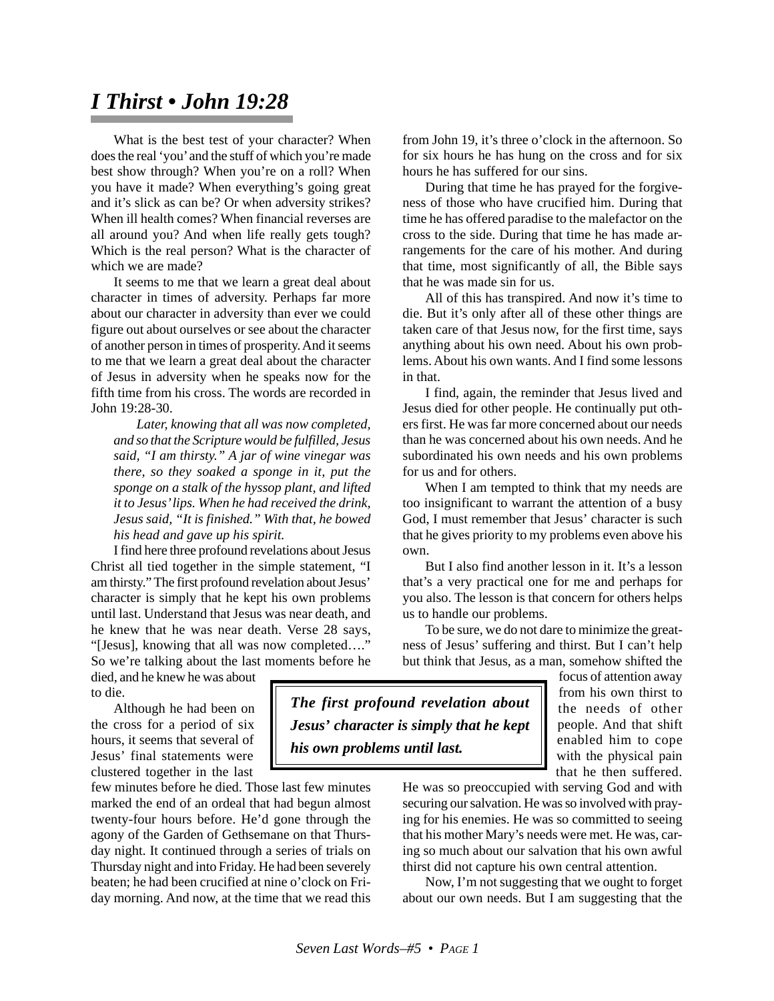## *I Thirst • John 19:28*

What is the best test of your character? When does the real 'you' and the stuff of which you're made best show through? When you're on a roll? When you have it made? When everything's going great and it's slick as can be? Or when adversity strikes? When ill health comes? When financial reverses are all around you? And when life really gets tough? Which is the real person? What is the character of which we are made?

It seems to me that we learn a great deal about character in times of adversity. Perhaps far more about our character in adversity than ever we could figure out about ourselves or see about the character of another person in times of prosperity. And it seems to me that we learn a great deal about the character of Jesus in adversity when he speaks now for the fifth time from his cross. The words are recorded in John 19:28-30.

*Later, knowing that all was now completed, and so that the Scripture would be fulfilled, Jesus said, "I am thirsty." A jar of wine vinegar was there, so they soaked a sponge in it, put the sponge on a stalk of the hyssop plant, and lifted it to Jesus' lips. When he had received the drink, Jesus said, "It is finished." With that, he bowed his head and gave up his spirit.*

I find here three profound revelations about Jesus Christ all tied together in the simple statement, "I am thirsty." The first profound revelation about Jesus' character is simply that he kept his own problems until last. Understand that Jesus was near death, and he knew that he was near death. Verse 28 says, "[Jesus], knowing that all was now completed…." So we're talking about the last moments before he from John 19, it's three o'clock in the afternoon. So for six hours he has hung on the cross and for six hours he has suffered for our sins.

During that time he has prayed for the forgiveness of those who have crucified him. During that time he has offered paradise to the malefactor on the cross to the side. During that time he has made arrangements for the care of his mother. And during that time, most significantly of all, the Bible says that he was made sin for us.

All of this has transpired. And now it's time to die. But it's only after all of these other things are taken care of that Jesus now, for the first time, says anything about his own need. About his own problems. About his own wants. And I find some lessons in that.

I find, again, the reminder that Jesus lived and Jesus died for other people. He continually put others first. He was far more concerned about our needs than he was concerned about his own needs. And he subordinated his own needs and his own problems for us and for others.

When I am tempted to think that my needs are too insignificant to warrant the attention of a busy God, I must remember that Jesus' character is such that he gives priority to my problems even above his own.

But I also find another lesson in it. It's a lesson that's a very practical one for me and perhaps for you also. The lesson is that concern for others helps us to handle our problems.

To be sure, we do not dare to minimize the greatness of Jesus' suffering and thirst. But I can't help but think that Jesus, as a man, somehow shifted the

died, and he knew he was about to die.

Although he had been on the cross for a period of six hours, it seems that several of Jesus' final statements were clustered together in the last

few minutes before he died. Those last few minutes marked the end of an ordeal that had begun almost twenty-four hours before. He'd gone through the agony of the Garden of Gethsemane on that Thursday night. It continued through a series of trials on Thursday night and into Friday. He had been severely beaten; he had been crucified at nine o'clock on Friday morning. And now, at the time that we read this

*The first profound revelation about Jesus' character is simply that he kept his own problems until last.*

focus of attention away from his own thirst to the needs of other people. And that shift enabled him to cope with the physical pain that he then suffered.

He was so preoccupied with serving God and with securing our salvation. He was so involved with praying for his enemies. He was so committed to seeing that his mother Mary's needs were met. He was, caring so much about our salvation that his own awful thirst did not capture his own central attention.

Now, I'm not suggesting that we ought to forget about our own needs. But I am suggesting that the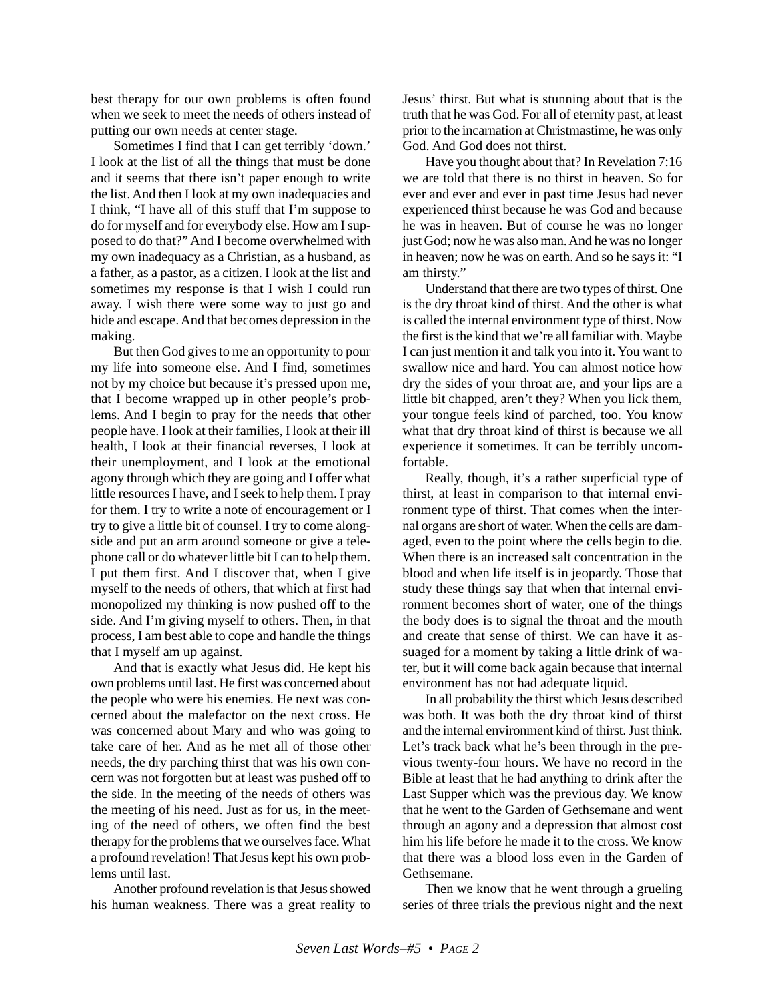best therapy for our own problems is often found when we seek to meet the needs of others instead of putting our own needs at center stage.

Sometimes I find that I can get terribly 'down.' I look at the list of all the things that must be done and it seems that there isn't paper enough to write the list. And then I look at my own inadequacies and I think, "I have all of this stuff that I'm suppose to do for myself and for everybody else. How am I supposed to do that?" And I become overwhelmed with my own inadequacy as a Christian, as a husband, as a father, as a pastor, as a citizen. I look at the list and sometimes my response is that I wish I could run away. I wish there were some way to just go and hide and escape. And that becomes depression in the making.

But then God gives to me an opportunity to pour my life into someone else. And I find, sometimes not by my choice but because it's pressed upon me, that I become wrapped up in other people's problems. And I begin to pray for the needs that other people have. I look at their families, I look at their ill health, I look at their financial reverses, I look at their unemployment, and I look at the emotional agony through which they are going and I offer what little resources I have, and I seek to help them. I pray for them. I try to write a note of encouragement or I try to give a little bit of counsel. I try to come alongside and put an arm around someone or give a telephone call or do whatever little bit I can to help them. I put them first. And I discover that, when I give myself to the needs of others, that which at first had monopolized my thinking is now pushed off to the side. And I'm giving myself to others. Then, in that process, I am best able to cope and handle the things that I myself am up against.

And that is exactly what Jesus did. He kept his own problems until last. He first was concerned about the people who were his enemies. He next was concerned about the malefactor on the next cross. He was concerned about Mary and who was going to take care of her. And as he met all of those other needs, the dry parching thirst that was his own concern was not forgotten but at least was pushed off to the side. In the meeting of the needs of others was the meeting of his need. Just as for us, in the meeting of the need of others, we often find the best therapy for the problems that we ourselves face. What a profound revelation! That Jesus kept his own problems until last.

Another profound revelation is that Jesus showed his human weakness. There was a great reality to Jesus' thirst. But what is stunning about that is the truth that he was God. For all of eternity past, at least prior to the incarnation at Christmastime, he was only God. And God does not thirst.

Have you thought about that? In Revelation 7:16 we are told that there is no thirst in heaven. So for ever and ever and ever in past time Jesus had never experienced thirst because he was God and because he was in heaven. But of course he was no longer just God; now he was also man. And he was no longer in heaven; now he was on earth. And so he says it: "I am thirsty."

Understand that there are two types of thirst. One is the dry throat kind of thirst. And the other is what is called the internal environment type of thirst. Now the first is the kind that we're all familiar with. Maybe I can just mention it and talk you into it. You want to swallow nice and hard. You can almost notice how dry the sides of your throat are, and your lips are a little bit chapped, aren't they? When you lick them, your tongue feels kind of parched, too. You know what that dry throat kind of thirst is because we all experience it sometimes. It can be terribly uncomfortable.

Really, though, it's a rather superficial type of thirst, at least in comparison to that internal environment type of thirst. That comes when the internal organs are short of water. When the cells are damaged, even to the point where the cells begin to die. When there is an increased salt concentration in the blood and when life itself is in jeopardy. Those that study these things say that when that internal environment becomes short of water, one of the things the body does is to signal the throat and the mouth and create that sense of thirst. We can have it assuaged for a moment by taking a little drink of water, but it will come back again because that internal environment has not had adequate liquid.

In all probability the thirst which Jesus described was both. It was both the dry throat kind of thirst and the internal environment kind of thirst. Just think. Let's track back what he's been through in the previous twenty-four hours. We have no record in the Bible at least that he had anything to drink after the Last Supper which was the previous day. We know that he went to the Garden of Gethsemane and went through an agony and a depression that almost cost him his life before he made it to the cross. We know that there was a blood loss even in the Garden of Gethsemane.

Then we know that he went through a grueling series of three trials the previous night and the next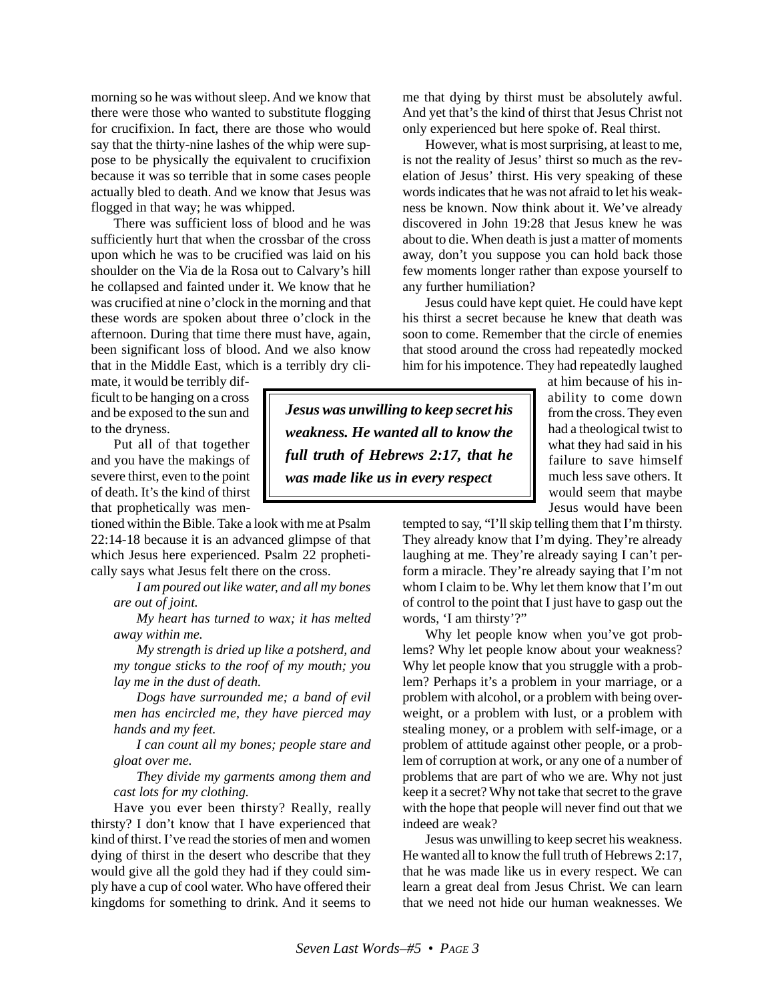morning so he was without sleep. And we know that there were those who wanted to substitute flogging for crucifixion. In fact, there are those who would say that the thirty-nine lashes of the whip were suppose to be physically the equivalent to crucifixion because it was so terrible that in some cases people actually bled to death. And we know that Jesus was flogged in that way; he was whipped.

There was sufficient loss of blood and he was sufficiently hurt that when the crossbar of the cross upon which he was to be crucified was laid on his shoulder on the Via de la Rosa out to Calvary's hill he collapsed and fainted under it. We know that he was crucified at nine o'clock in the morning and that these words are spoken about three o'clock in the afternoon. During that time there must have, again, been significant loss of blood. And we also know that in the Middle East, which is a terribly dry cli-

mate, it would be terribly difficult to be hanging on a cross and be exposed to the sun and to the dryness.

Put all of that together and you have the makings of severe thirst, even to the point of death. It's the kind of thirst that prophetically was men-

tioned within the Bible. Take a look with me at Psalm 22:14-18 because it is an advanced glimpse of that which Jesus here experienced. Psalm 22 prophetically says what Jesus felt there on the cross.

*I am poured out like water, and all my bones are out of joint.*

*My heart has turned to wax; it has melted away within me.*

*My strength is dried up like a potsherd, and my tongue sticks to the roof of my mouth; you lay me in the dust of death.*

*Dogs have surrounded me; a band of evil men has encircled me, they have pierced may hands and my feet.*

*I can count all my bones; people stare and gloat over me.*

*They divide my garments among them and cast lots for my clothing.*

Have you ever been thirsty? Really, really thirsty? I don't know that I have experienced that kind of thirst. I've read the stories of men and women dying of thirst in the desert who describe that they would give all the gold they had if they could simply have a cup of cool water. Who have offered their kingdoms for something to drink. And it seems to

me that dying by thirst must be absolutely awful. And yet that's the kind of thirst that Jesus Christ not only experienced but here spoke of. Real thirst.

However, what is most surprising, at least to me, is not the reality of Jesus' thirst so much as the revelation of Jesus' thirst. His very speaking of these words indicates that he was not afraid to let his weakness be known. Now think about it. We've already discovered in John 19:28 that Jesus knew he was about to die. When death is just a matter of moments away, don't you suppose you can hold back those few moments longer rather than expose yourself to any further humiliation?

Jesus could have kept quiet. He could have kept his thirst a secret because he knew that death was soon to come. Remember that the circle of enemies that stood around the cross had repeatedly mocked him for his impotence. They had repeatedly laughed

*Jesus was unwilling to keep secret his weakness. He wanted all to know the full truth of Hebrews 2:17, that he was made like us in every respect*

at him because of his inability to come down from the cross. They even had a theological twist to what they had said in his failure to save himself much less save others. It would seem that maybe Jesus would have been

tempted to say, "I'll skip telling them that I'm thirsty. They already know that I'm dying. They're already laughing at me. They're already saying I can't perform a miracle. They're already saying that I'm not whom I claim to be. Why let them know that I'm out of control to the point that I just have to gasp out the words, 'I am thirsty'?"

Why let people know when you've got problems? Why let people know about your weakness? Why let people know that you struggle with a problem? Perhaps it's a problem in your marriage, or a problem with alcohol, or a problem with being overweight, or a problem with lust, or a problem with stealing money, or a problem with self-image, or a problem of attitude against other people, or a problem of corruption at work, or any one of a number of problems that are part of who we are. Why not just keep it a secret? Why not take that secret to the grave with the hope that people will never find out that we indeed are weak?

Jesus was unwilling to keep secret his weakness. He wanted all to know the full truth of Hebrews 2:17, that he was made like us in every respect. We can learn a great deal from Jesus Christ. We can learn that we need not hide our human weaknesses. We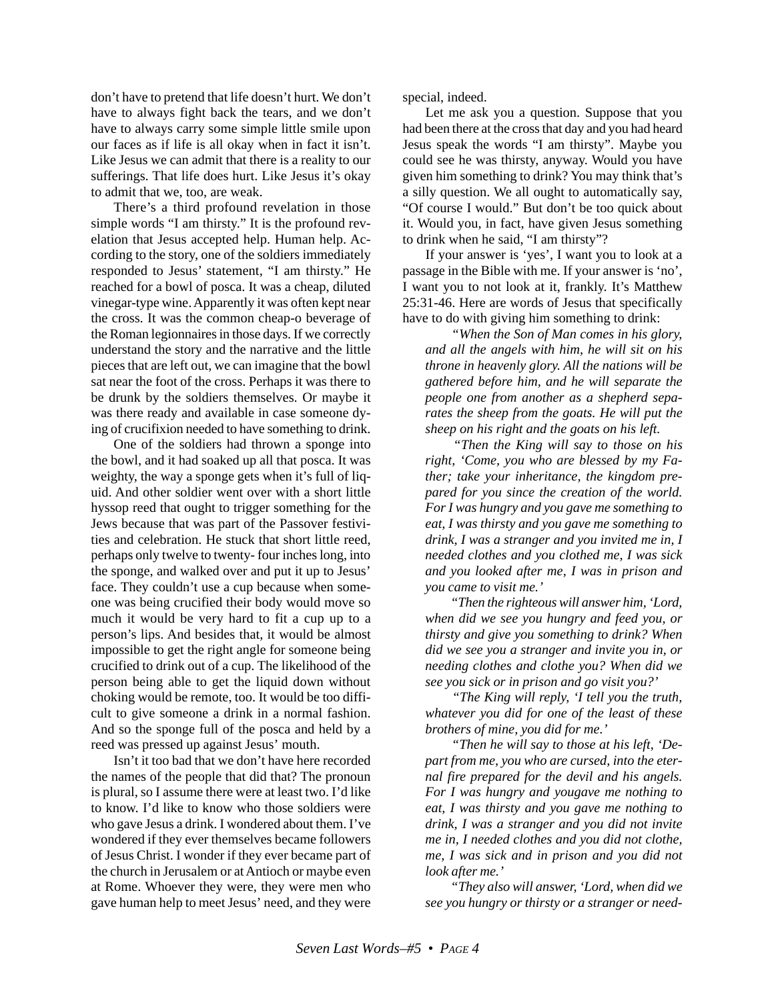don't have to pretend that life doesn't hurt. We don't have to always fight back the tears, and we don't have to always carry some simple little smile upon our faces as if life is all okay when in fact it isn't. Like Jesus we can admit that there is a reality to our sufferings. That life does hurt. Like Jesus it's okay to admit that we, too, are weak.

There's a third profound revelation in those simple words "I am thirsty." It is the profound revelation that Jesus accepted help. Human help. According to the story, one of the soldiers immediately responded to Jesus' statement, "I am thirsty." He reached for a bowl of posca. It was a cheap, diluted vinegar-type wine. Apparently it was often kept near the cross. It was the common cheap-o beverage of the Roman legionnaires in those days. If we correctly understand the story and the narrative and the little pieces that are left out, we can imagine that the bowl sat near the foot of the cross. Perhaps it was there to be drunk by the soldiers themselves. Or maybe it was there ready and available in case someone dying of crucifixion needed to have something to drink.

One of the soldiers had thrown a sponge into the bowl, and it had soaked up all that posca. It was weighty, the way a sponge gets when it's full of liquid. And other soldier went over with a short little hyssop reed that ought to trigger something for the Jews because that was part of the Passover festivities and celebration. He stuck that short little reed, perhaps only twelve to twenty- four inches long, into the sponge, and walked over and put it up to Jesus' face. They couldn't use a cup because when someone was being crucified their body would move so much it would be very hard to fit a cup up to a person's lips. And besides that, it would be almost impossible to get the right angle for someone being crucified to drink out of a cup. The likelihood of the person being able to get the liquid down without choking would be remote, too. It would be too difficult to give someone a drink in a normal fashion. And so the sponge full of the posca and held by a reed was pressed up against Jesus' mouth.

Isn't it too bad that we don't have here recorded the names of the people that did that? The pronoun is plural, so I assume there were at least two. I'd like to know. I'd like to know who those soldiers were who gave Jesus a drink. I wondered about them. I've wondered if they ever themselves became followers of Jesus Christ. I wonder if they ever became part of the church in Jerusalem or at Antioch or maybe even at Rome. Whoever they were, they were men who gave human help to meet Jesus' need, and they were

special, indeed.

Let me ask you a question. Suppose that you had been there at the cross that day and you had heard Jesus speak the words "I am thirsty". Maybe you could see he was thirsty, anyway. Would you have given him something to drink? You may think that's a silly question. We all ought to automatically say, "Of course I would." But don't be too quick about it. Would you, in fact, have given Jesus something to drink when he said, "I am thirsty"?

If your answer is 'yes', I want you to look at a passage in the Bible with me. If your answer is 'no', I want you to not look at it, frankly. It's Matthew 25:31-46. Here are words of Jesus that specifically have to do with giving him something to drink:

 *"When the Son of Man comes in his glory, and all the angels with him, he will sit on his throne in heavenly glory. All the nations will be gathered before him, and he will separate the people one from another as a shepherd separates the sheep from the goats. He will put the sheep on his right and the goats on his left.*

 *"Then the King will say to those on his right, 'Come, you who are blessed by my Father; take your inheritance, the kingdom prepared for you since the creation of the world. For I was hungry and you gave me something to eat, I was thirsty and you gave me something to drink, I was a stranger and you invited me in, I needed clothes and you clothed me, I was sick and you looked after me, I was in prison and you came to visit me.'*

 *"Then the righteous will answer him, 'Lord, when did we see you hungry and feed you, or thirsty and give you something to drink? When did we see you a stranger and invite you in, or needing clothes and clothe you? When did we see you sick or in prison and go visit you?'*

 *"The King will reply, 'I tell you the truth, whatever you did for one of the least of these brothers of mine, you did for me.'*

 *"Then he will say to those at his left, 'Depart from me, you who are cursed, into the eternal fire prepared for the devil and his angels. For I was hungry and yougave me nothing to eat, I was thirsty and you gave me nothing to drink, I was a stranger and you did not invite me in, I needed clothes and you did not clothe, me, I was sick and in prison and you did not look after me.'*

 *"They also will answer, 'Lord, when did we see you hungry or thirsty or a stranger or need-*